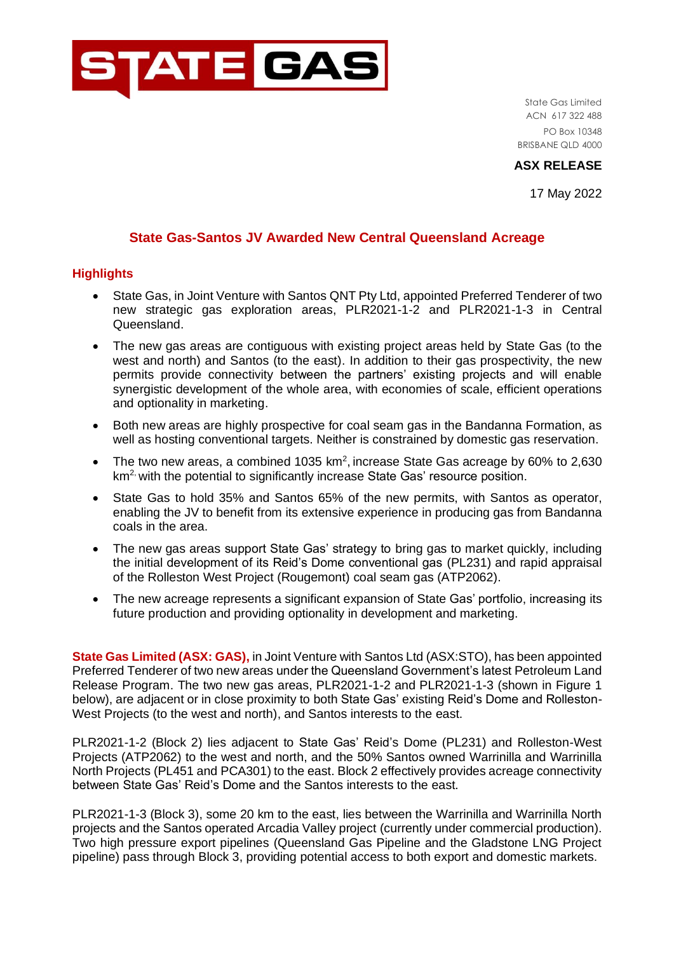

State Gas Limited ACN 617 322 488 PO Box 10348 BRISBANE QLD 4000

**ASX RELEASE**

17 May 2022

## **State Gas-Santos JV Awarded New Central Queensland Acreage**

## **Highlights**

- State Gas, in Joint Venture with Santos QNT Pty Ltd, appointed Preferred Tenderer of two new strategic gas exploration areas, PLR2021-1-2 and PLR2021-1-3 in Central Queensland.
- The new gas areas are contiguous with existing project areas held by State Gas (to the west and north) and Santos (to the east). In addition to their gas prospectivity, the new permits provide connectivity between the partners' existing projects and will enable synergistic development of the whole area, with economies of scale, efficient operations and optionality in marketing.
- Both new areas are highly prospective for coal seam gas in the Bandanna Formation, as well as hosting conventional targets. Neither is constrained by domestic gas reservation.
- The two new areas, a combined 1035  $km^2$ , increase State Gas acreage by 60% to 2,630  $km<sup>2</sup>$  with the potential to significantly increase State Gas' resource position.
- State Gas to hold 35% and Santos 65% of the new permits, with Santos as operator, enabling the JV to benefit from its extensive experience in producing gas from Bandanna coals in the area.
- The new gas areas support State Gas' strategy to bring gas to market quickly, including the initial development of its Reid's Dome conventional gas (PL231) and rapid appraisal of the Rolleston West Project (Rougemont) coal seam gas (ATP2062).
- The new acreage represents a significant expansion of State Gas' portfolio, increasing its future production and providing optionality in development and marketing.

**State Gas Limited (ASX: GAS),** in Joint Venture with Santos Ltd (ASX:STO), has been appointed Preferred Tenderer of two new areas under the Queensland Government's latest Petroleum Land Release Program. The two new gas areas, PLR2021-1-2 and PLR2021-1-3 (shown in Figure 1 below), are adjacent or in close proximity to both State Gas' existing Reid's Dome and Rolleston-West Projects (to the west and north), and Santos interests to the east.

PLR2021-1-2 (Block 2) lies adjacent to State Gas' Reid's Dome (PL231) and Rolleston-West Projects (ATP2062) to the west and north, and the 50% Santos owned Warrinilla and Warrinilla North Projects (PL451 and PCA301) to the east. Block 2 effectively provides acreage connectivity between State Gas' Reid's Dome and the Santos interests to the east.

PLR2021-1-3 (Block 3), some 20 km to the east, lies between the Warrinilla and Warrinilla North projects and the Santos operated Arcadia Valley project (currently under commercial production). Two high pressure export pipelines (Queensland Gas Pipeline and the Gladstone LNG Project pipeline) pass through Block 3, providing potential access to both export and domestic markets.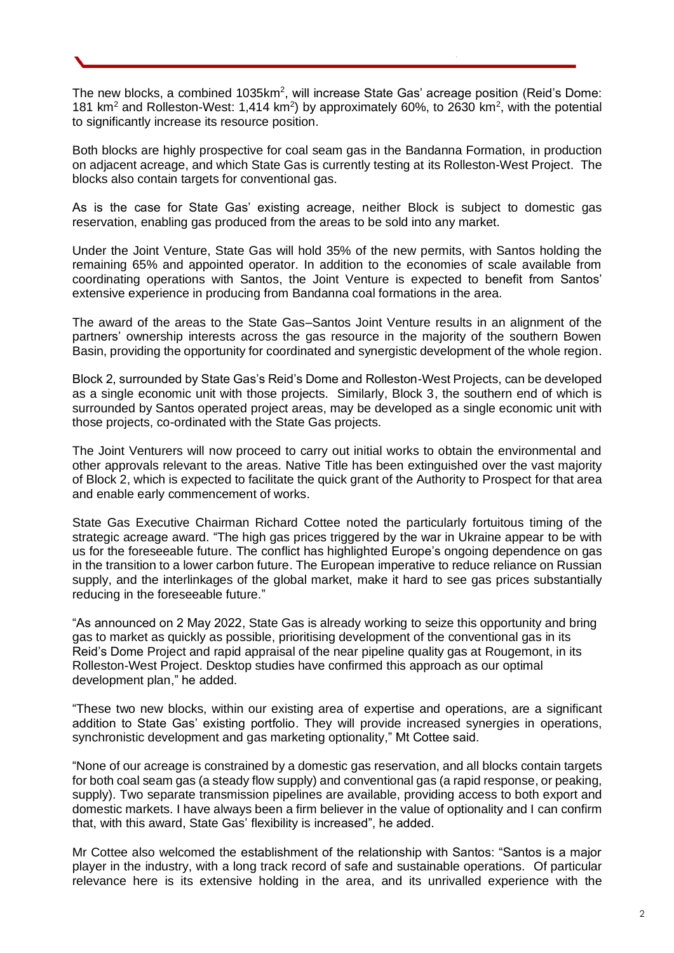The new blocks, a combined 1035km<sup>2</sup>, will increase State Gas' acreage position (Reid's Dome: 181 km<sup>2</sup> and Rolleston-West: 1,414 km<sup>2</sup>) by approximately 60%, to 2630 km<sup>2</sup>, with the potential to significantly increase its resource position.

Both blocks are highly prospective for coal seam gas in the Bandanna Formation, in production on adjacent acreage, and which State Gas is currently testing at its Rolleston-West Project. The blocks also contain targets for conventional gas.

As is the case for State Gas' existing acreage, neither Block is subject to domestic gas reservation, enabling gas produced from the areas to be sold into any market.

Under the Joint Venture, State Gas will hold 35% of the new permits, with Santos holding the remaining 65% and appointed operator. In addition to the economies of scale available from coordinating operations with Santos, the Joint Venture is expected to benefit from Santos' extensive experience in producing from Bandanna coal formations in the area.

The award of the areas to the State Gas–Santos Joint Venture results in an alignment of the partners' ownership interests across the gas resource in the majority of the southern Bowen Basin, providing the opportunity for coordinated and synergistic development of the whole region.

Block 2, surrounded by State Gas's Reid's Dome and Rolleston-West Projects, can be developed as a single economic unit with those projects. Similarly, Block 3, the southern end of which is surrounded by Santos operated project areas, may be developed as a single economic unit with those projects, co-ordinated with the State Gas projects.

The Joint Venturers will now proceed to carry out initial works to obtain the environmental and other approvals relevant to the areas. Native Title has been extinguished over the vast majority of Block 2, which is expected to facilitate the quick grant of the Authority to Prospect for that area and enable early commencement of works.

State Gas Executive Chairman Richard Cottee noted the particularly fortuitous timing of the strategic acreage award. "The high gas prices triggered by the war in Ukraine appear to be with us for the foreseeable future. The conflict has highlighted Europe's ongoing dependence on gas in the transition to a lower carbon future. The European imperative to reduce reliance on Russian supply, and the interlinkages of the global market, make it hard to see gas prices substantially reducing in the foreseeable future."

"As announced on 2 May 2022, State Gas is already working to seize this opportunity and bring gas to market as quickly as possible, prioritising development of the conventional gas in its Reid's Dome Project and rapid appraisal of the near pipeline quality gas at Rougemont, in its Rolleston-West Project. Desktop studies have confirmed this approach as our optimal development plan," he added.

"These two new blocks, within our existing area of expertise and operations, are a significant addition to State Gas' existing portfolio. They will provide increased synergies in operations, synchronistic development and gas marketing optionality," Mt Cottee said.

"None of our acreage is constrained by a domestic gas reservation, and all blocks contain targets for both coal seam gas (a steady flow supply) and conventional gas (a rapid response, or peaking, supply). Two separate transmission pipelines are available, providing access to both export and domestic markets. I have always been a firm believer in the value of optionality and I can confirm that, with this award, State Gas' flexibility is increased", he added.

Mr Cottee also welcomed the establishment of the relationship with Santos: "Santos is a major player in the industry, with a long track record of safe and sustainable operations. Of particular relevance here is its extensive holding in the area, and its unrivalled experience with the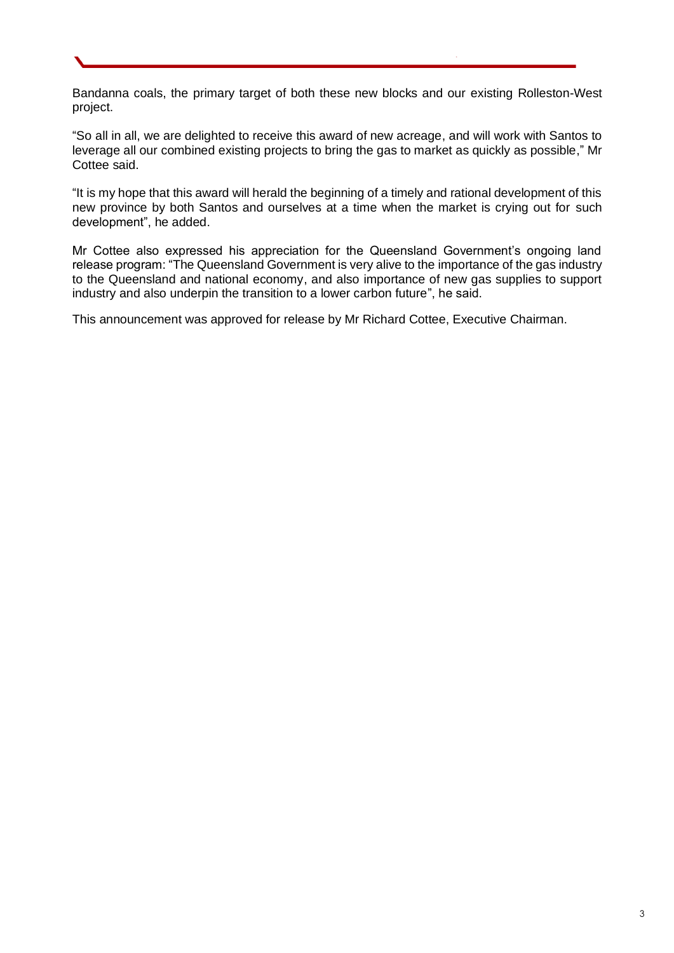Bandanna coals, the primary target of both these new blocks and our existing Rolleston-West project.

"So all in all, we are delighted to receive this award of new acreage, and will work with Santos to leverage all our combined existing projects to bring the gas to market as quickly as possible," Mr Cottee said.

"It is my hope that this award will herald the beginning of a timely and rational development of this new province by both Santos and ourselves at a time when the market is crying out for such development", he added.

Mr Cottee also expressed his appreciation for the Queensland Government's ongoing land release program: "The Queensland Government is very alive to the importance of the gas industry to the Queensland and national economy, and also importance of new gas supplies to support industry and also underpin the transition to a lower carbon future", he said.

This announcement was approved for release by Mr Richard Cottee, Executive Chairman.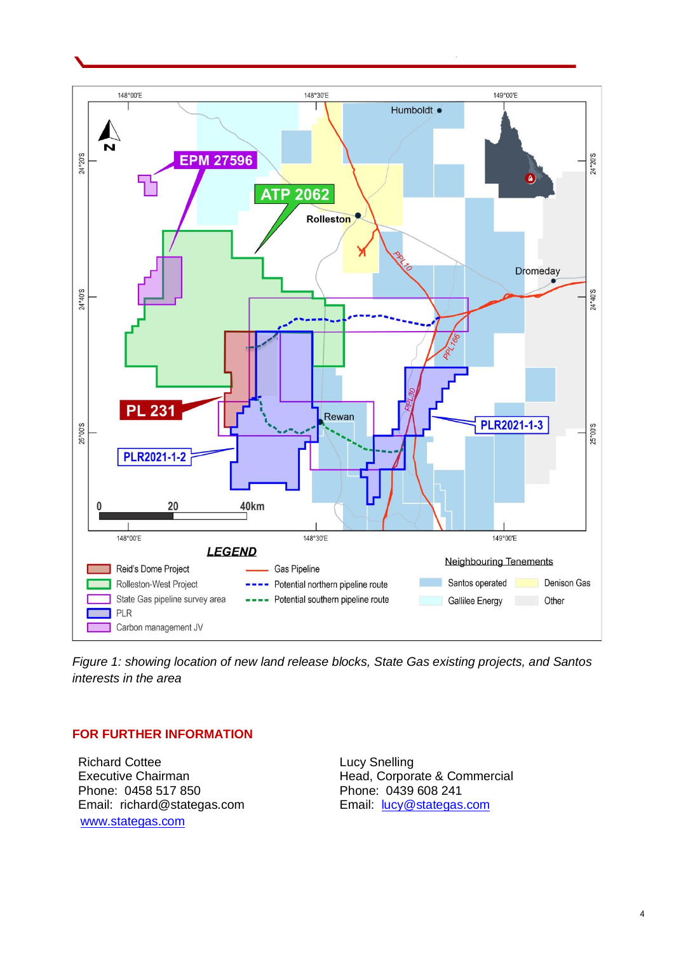

*Figure 1: showing location of new land release blocks, State Gas existing projects, and Santos interests in the area* 

## **FOR FURTHER INFORMATION**

Richard Cottee Executive Chairman Phone: 0458 517 850 Email: richard@stategas.com [www.stategas.com](http://www.stategas.com/)

Lucy Snelling Head, Corporate & Commercial Phone: 0439 608 241 Email: [lucy@stategas.com](mailto:lucy@stategas.com)